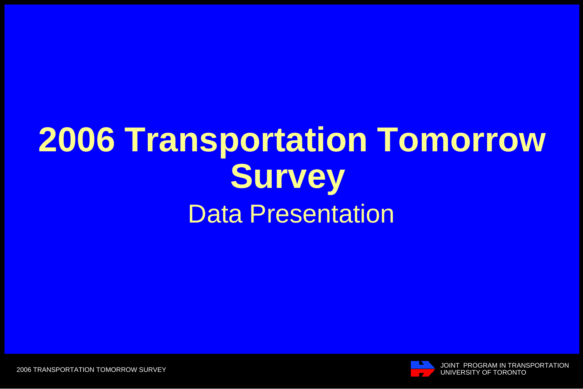# **2006 Transportation Tomorrow Survey**  Data Presentation

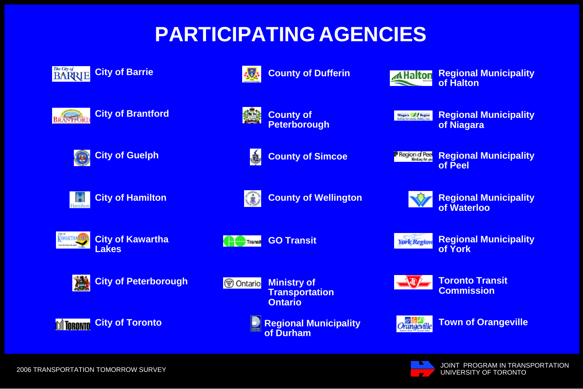### **PARTICIPATING AGENCIES**





KWARTHA

Cash da Navarrão que





板

**County of Peterborough**

**County of Dufferin**



**County of Simcoe**

Niagara / *f* Region<br>Salilar Coronnis, Dalaky Den.

**AHalton** 

**Regional Municipality of Niagara**

**Regional Municipality**

**of Halton**

**Region of Peel Regional Municipality of Peel**

**of Waterloo**

**City of Guelph**



**City of Kawartha**



**ALC** Transit

**County of Wellington**

**GO Transit**

**York Region** 

**Regional Municipality of York**

**Regional Municipality**



**City of Peterborough**



**Lakes**

**Ministry of V** Ontario **Transportation Ontario**

> **Regional Municipality of Durham**



**Toronto Transit Commission**



**Town of Orangeville**



JOINT PROGRAM IN TRANSPORTATION UNIVERSITY OF TORONTO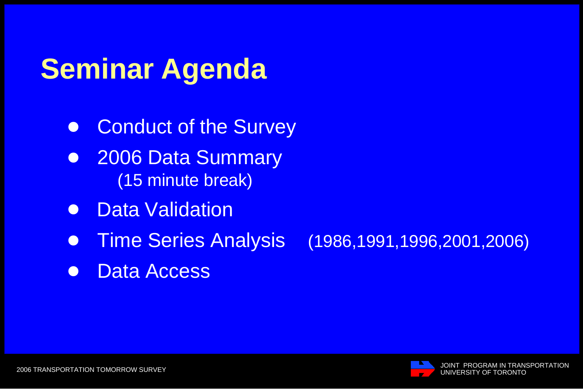# **Seminar Agenda**

- **Conduct of the Survey**
- **. 2006 Data Summary** (15 minute break)
- $\bullet$  Data Validation
- ! Time Series Analysis (1986,1991,1996,2001,2006)
- Data Access

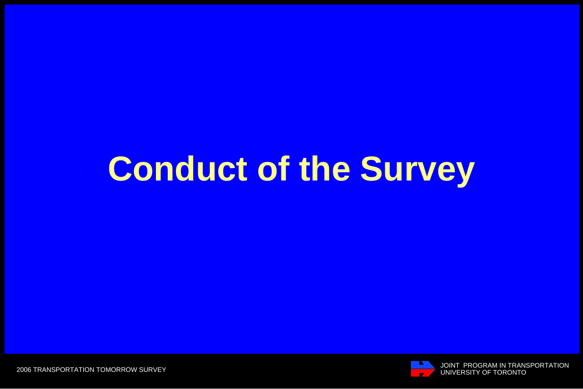# **Conduct of the Survey**

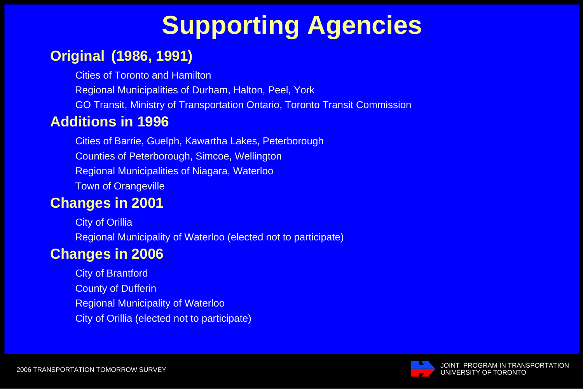## **Supporting Agencies**

#### **Original (1986, 1991)**

Cities of Toronto and Hamilton

Regional Municipalities of Durham, Halton, Peel, York

GO Transit, Ministry of Transportation Ontario, Toronto Transit Commission

#### **Additions in 1996**

 Cities of Barrie, Guelph, Kawartha Lakes, Peterborough Counties of Peterborough, Simcoe, Wellington Regional Municipalities of Niagara, Waterloo Town of Orangeville

#### **Changes in 2001**

 City of Orillia Regional Municipality of Waterloo (elected not to participate)

#### **Changes in 2006**

 City of Brantford County of Dufferin Regional Municipality of Waterloo City of Orillia (elected not to participate)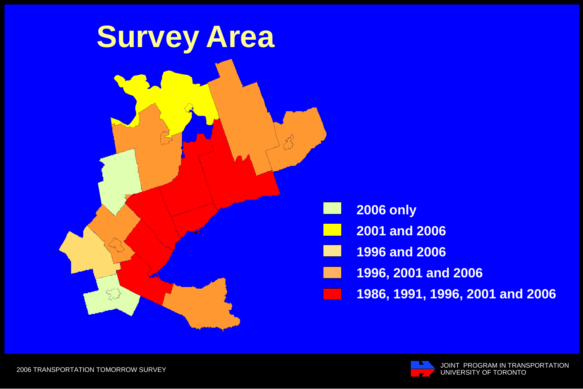

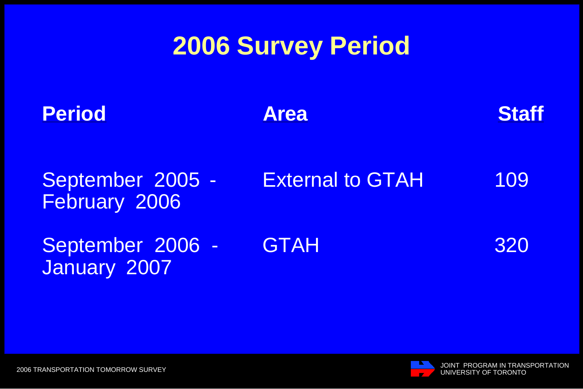### **2006 Survey Period**

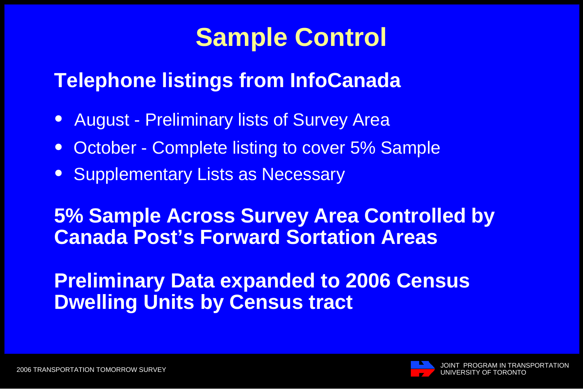### **Sample Control**

### **Telephone listings from InfoCanada**

- **August Preliminary lists of Survey Area**
- October Complete listing to cover 5% Sample
- **Supplementary Lists as Necessary**

### **5% Sample Across Survey Area Controlled by Canada Post's Forward Sortation Areas**

### **Preliminary Data expanded to 2006 Census Dwelling Units by Census tract**

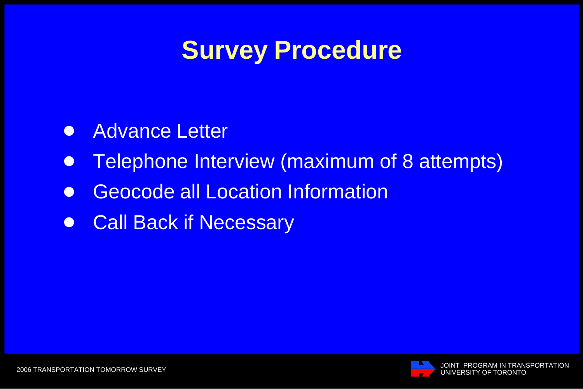### **Survey Procedure**

- **.** Advance Letter
- **Telephone Interview (maximum of 8 attempts)**
- **Geocode all Location Information**
- **Call Back if Necessary**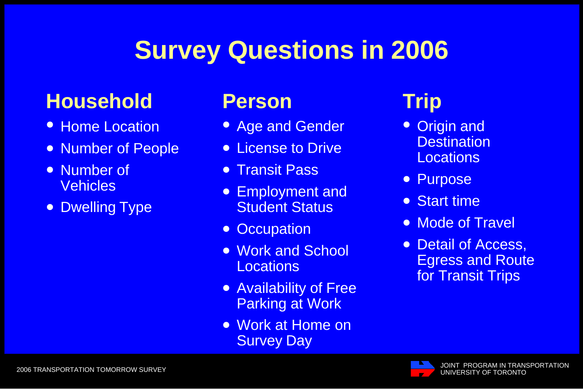### **Survey Questions in 2006**

### **Household**

- Home Location
- Number of People
- $\bullet$  Number of **Vehicles**
- Dwelling Type

### **Person Trip**

- **Age and Gender**
- License to Drive
- **Transit Pass**
- **Employment and** Student Status
- **Occupation**
- Work and School **Locations**
- Availability of Free Parking at Work
- Work at Home on Survey Day

- $\bullet$  Origin and Destination Locations
- **Purpose**
- Start time
- Mode of Travel
- Detail of Access, Egress and Route for Transit Trips

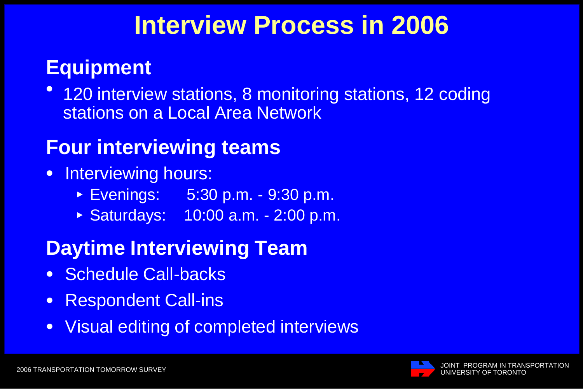### **Interview Process in 2006**

### **Equipment**

 $\bullet$ 120 interview stations, 8 monitoring stations, 12 coding stations on a Local Area Network

### **Four interviewing teams**

- Interviewing hours:
	- < Evenings: 5:30 p.m. 9:30 p.m.
	- < Saturdays: 10:00 a.m. 2:00 p.m.

### **Daytime Interviewing Team**

- **Schedule Call-backs**
- **Respondent Call-ins**
- **Visual editing of completed interviews**

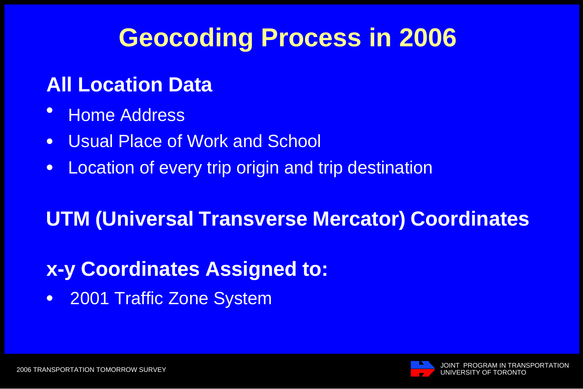### **Geocoding Process in 2006**

### **All Location Data**

- **Home Address**
- **.** Usual Place of Work and School
- Location of every trip origin and trip destination

### **UTM (Universal Transverse Mercator) Coordinates**

### **x-y Coordinates Assigned to:**

• 2001 Traffic Zone System

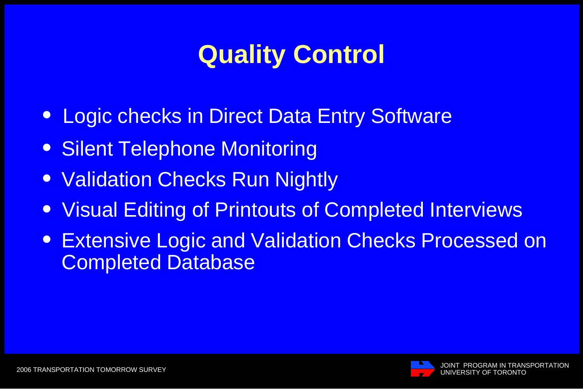## **Quality Control**

- **Logic checks in Direct Data Entry Software**
- Silent Telephone Monitoring
- Validation Checks Run Nightly
- **.** Visual Editing of Printouts of Completed Interviews
- **Extensive Logic and Validation Checks Processed on** Completed Database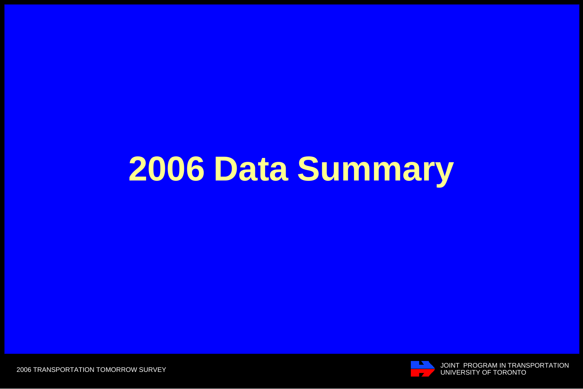# **2006 Data Summary**

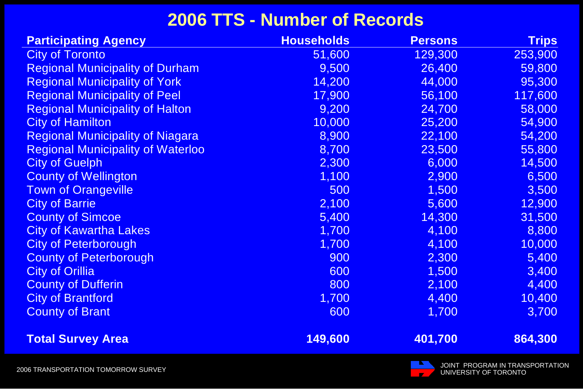### **2006 TTS - Number of Records**

| <b>Participating Agency</b>              | <b>Households</b> | <b>Persons</b> | <b>Trips</b> |
|------------------------------------------|-------------------|----------------|--------------|
| <b>City of Toronto</b>                   | 51,600            | 129,300        | 253,900      |
| <b>Regional Municipality of Durham</b>   | 9,500             | 26,400         | 59,800       |
| <b>Regional Municipality of York</b>     | 14,200            | 44,000         | 95,300       |
| <b>Regional Municipality of Peel</b>     | 17,900            | 56,100         | 117,600      |
| <b>Regional Municipality of Halton</b>   | 9,200             | 24,700         | 58,000       |
| <b>City of Hamilton</b>                  | 10,000            | 25,200         | 54,900       |
| <b>Regional Municipality of Niagara</b>  | 8,900             | 22,100         | 54,200       |
| <b>Regional Municipality of Waterloo</b> | 8,700             | 23,500         | 55,800       |
| <b>City of Guelph</b>                    | 2,300             | 6,000          | 14,500       |
| <b>County of Wellington</b>              | 1,100             | 2,900          | 6,500        |
| <b>Town of Orangeville</b>               | 500               | 1,500          | 3,500        |
| <b>City of Barrie</b>                    | 2,100             | 5,600          | 12,900       |
| <b>County of Simcoe</b>                  | 5,400             | 14,300         | 31,500       |
| <b>City of Kawartha Lakes</b>            | 1,700             | 4,100          | 8,800        |
| <b>City of Peterborough</b>              | 1,700             | 4,100          | 10,000       |
| <b>County of Peterborough</b>            | 900               | 2,300          | 5,400        |
| <b>City of Orillia</b>                   | 600               | 1,500          | 3,400        |
| <b>County of Dufferin</b>                | 800               | 2,100          | 4,400        |
| <b>City of Brantford</b>                 | 1,700             | 4,400          | 10,400       |
| <b>County of Brant</b>                   | 600               | 1,700          | 3,700        |
| <b>Total Survey Area</b>                 | 149,600           | 401,700        | 864,300      |

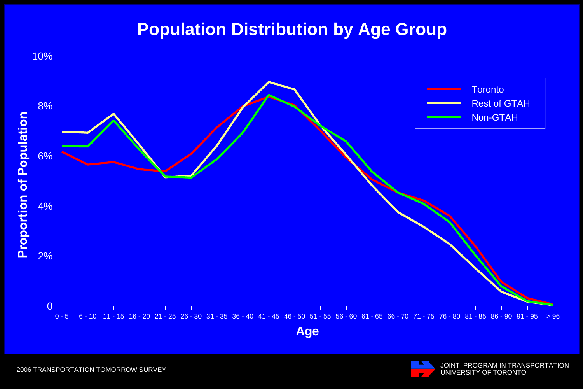#### **Population Distribution by Age Group**



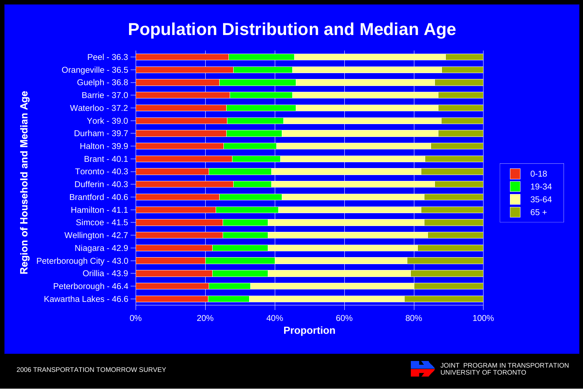#### **Population Distribution and Median Age**



JOINT PROGRAM IN TRANSPORTATION<br>UNIVERSITY OF TORONTO

2006 TRANSPORTATION TOMORROW SURVEY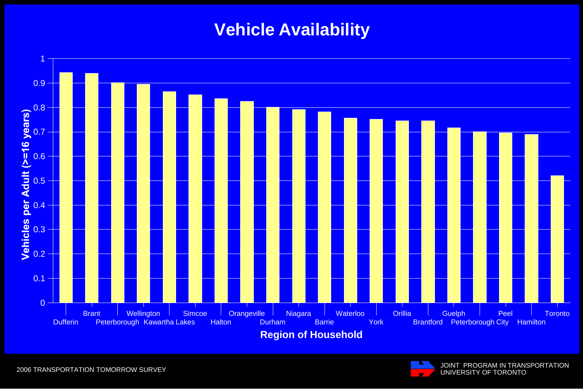### **Vehicle Availability**



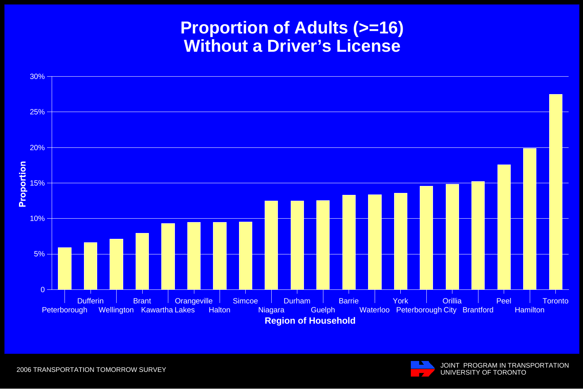#### **Proportion of Adults (>=16) Without a Driver's License**



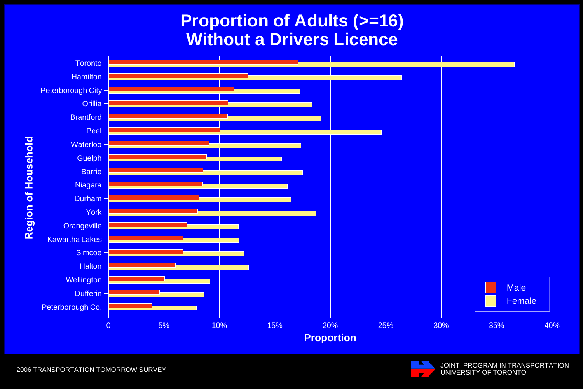#### **Proportion of Adults (>=16) Without a Drivers Licence**



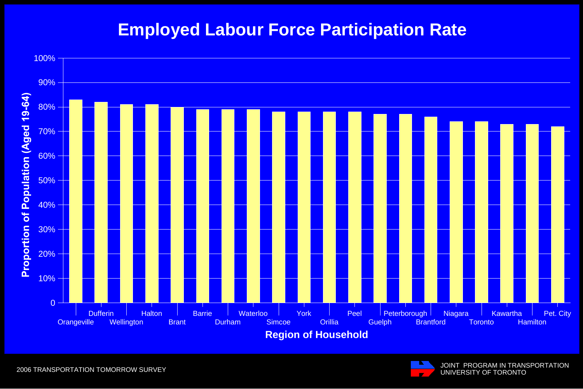#### **Employed Labour Force Participation Rate**





JOINT PROGRAM IN TRANSPORTATION UNIVERSITY OF TORONTO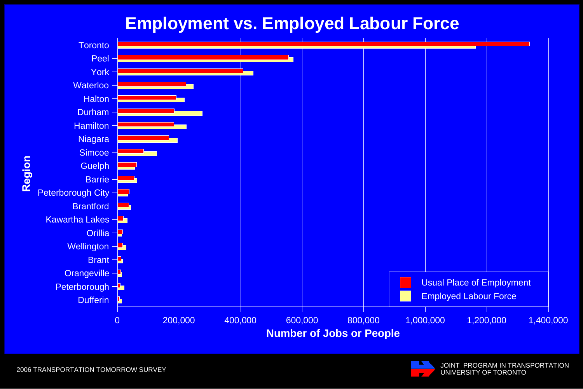#### **Employment vs. Employed Labour Force**





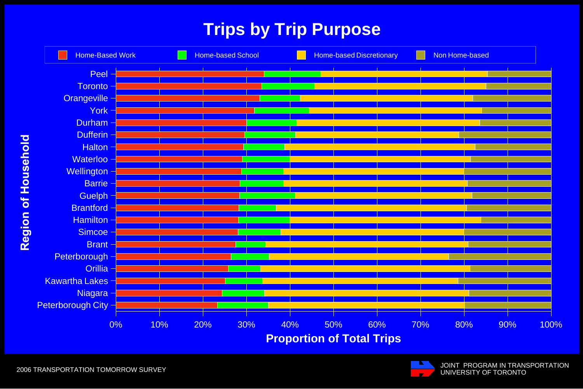### **Trips by Trip Purpose**



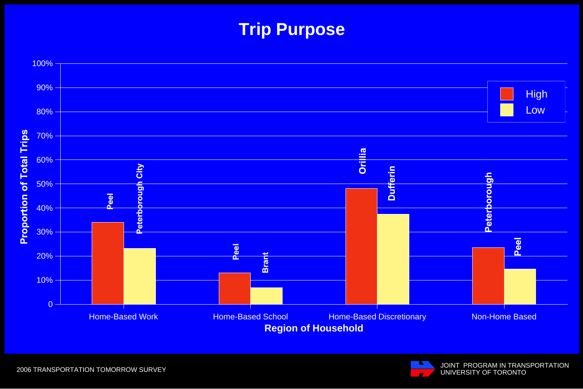### **Trip Purpose**



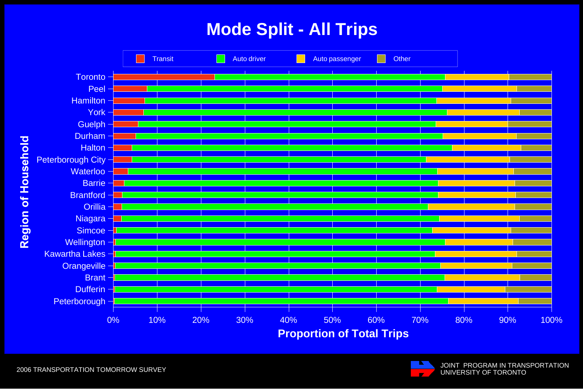### **Mode Split - All Trips**



JOINT PROGRAM IN TRANSPORTATION UNIVERSITY OF TORONTO

2006 TRANSPORTATION TOMORROW SURVEY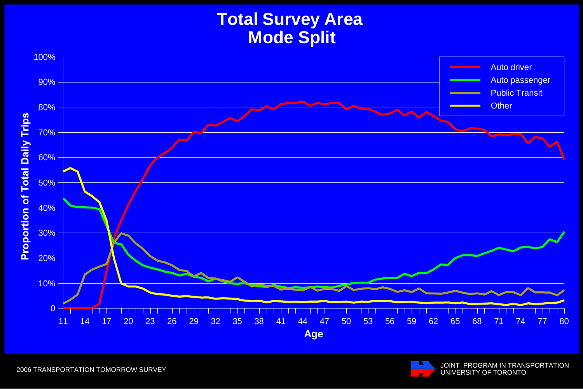### **Total Survey Area Mode Split**



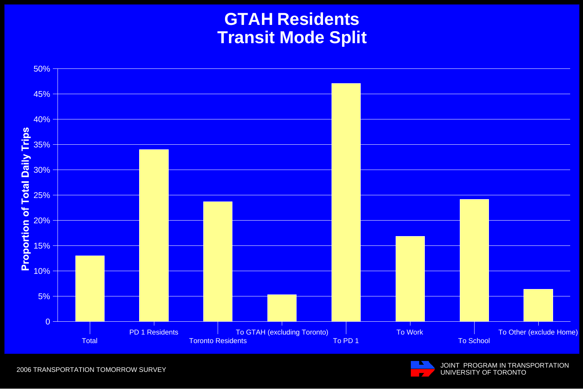#### **GTAH Residents Transit Mode Split**



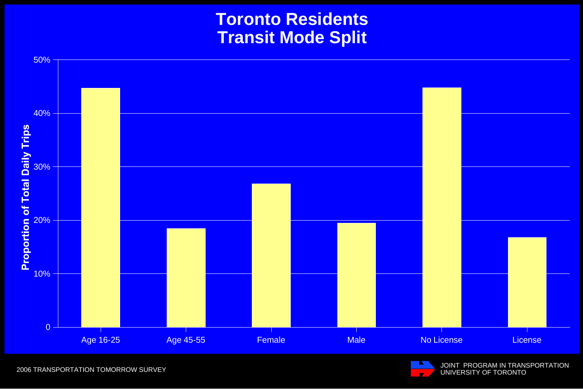#### **Toronto Residents Transit Mode Split**



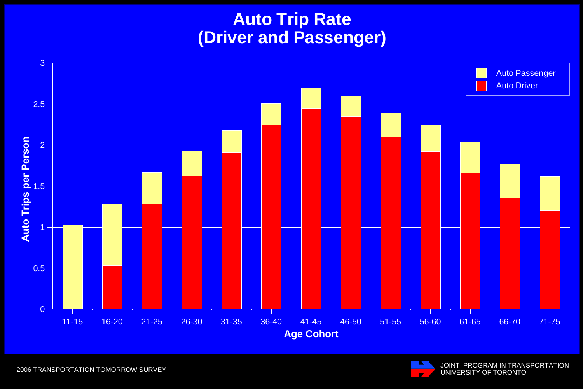### **Auto Trip Rate (Driver and Passenger)**



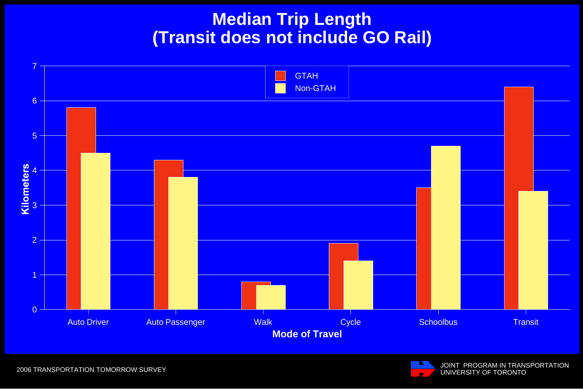#### **Median Trip Length (Transit does not include GO Rail)**

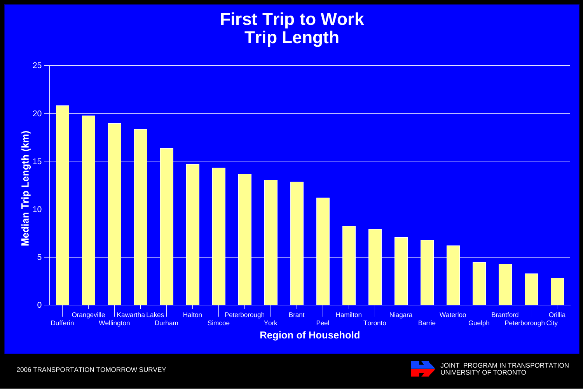### **First Trip to Work Trip Length**



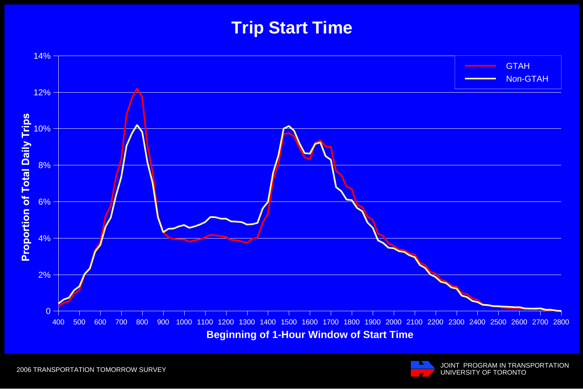### **Trip Start Time**



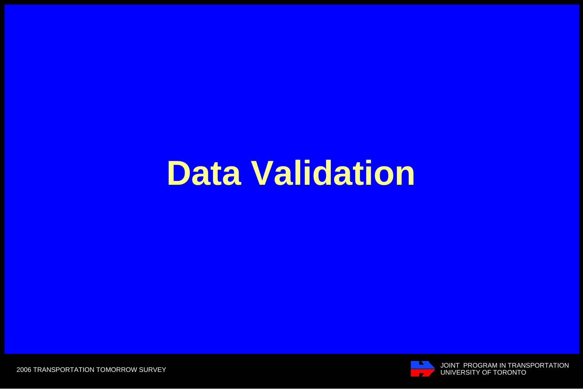# **Data Validation**

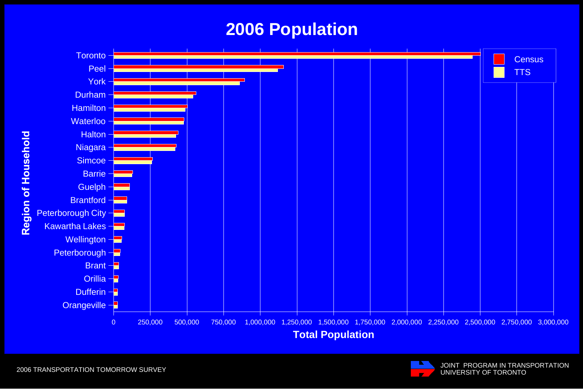#### **2006 Population**



JOINT PROGRAM IN TRANSPORTATION UNIVERSITY OF TORONTO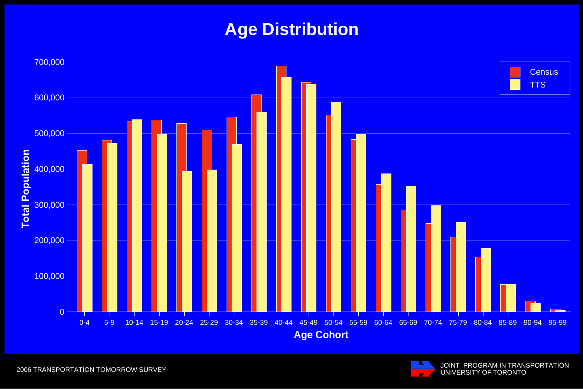### **Age Distribution**



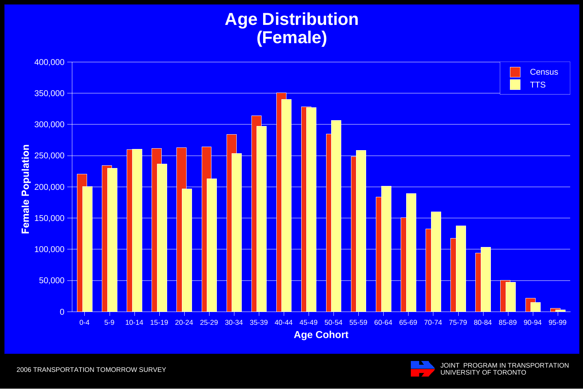### **Age Distribution (Female)**



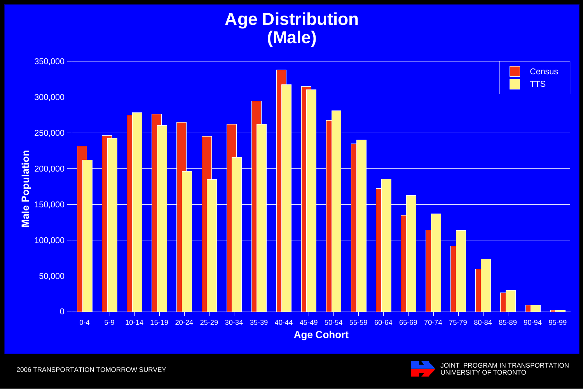# **Age Distribution (Male)**



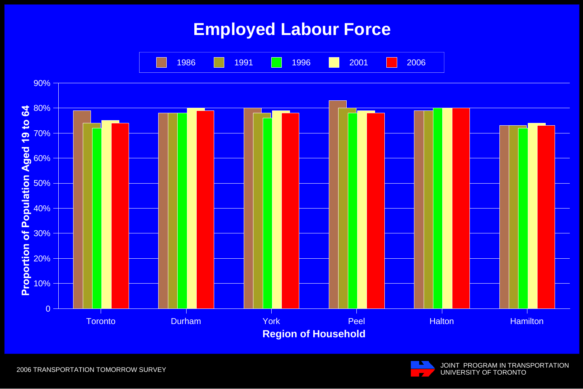### **Employed Labour Force**



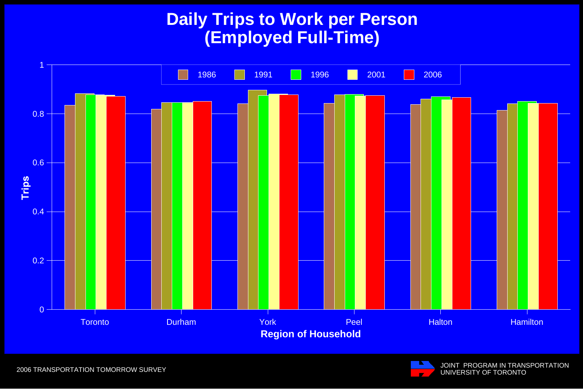#### **Daily Trips to Work per Person (Employed Full-Time)**



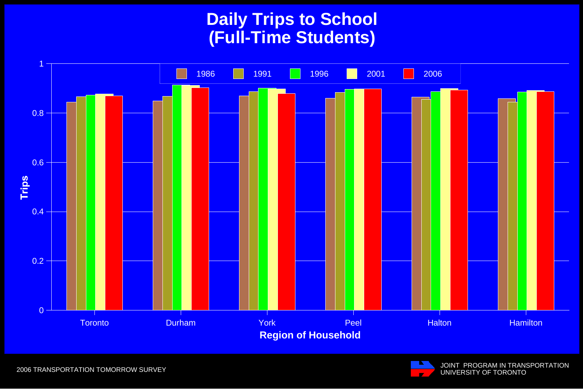## **Daily Trips to School (Full-Time Students)**



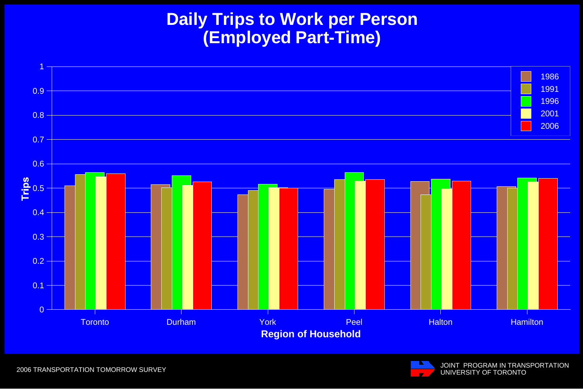#### **Daily Trips to Work per Person (Employed Part-Time)**



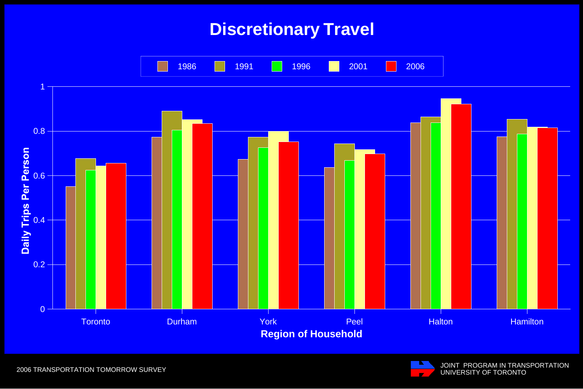#### **Discretionary Travel**



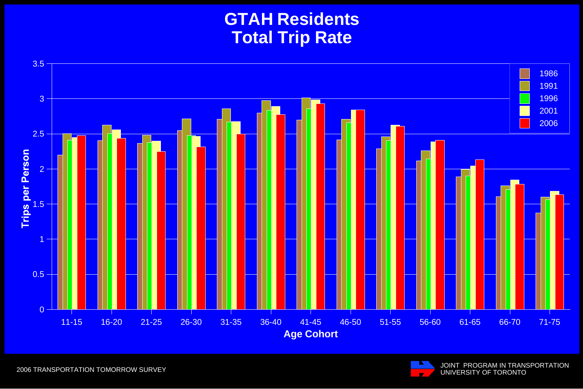#### **GTAH Residents Total Trip Rate**



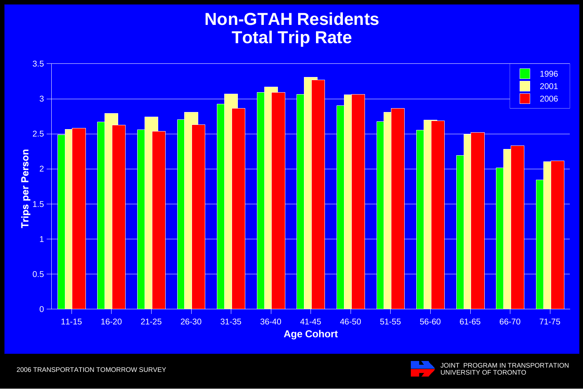# **Non-GTAH Residents Total Trip Rate**



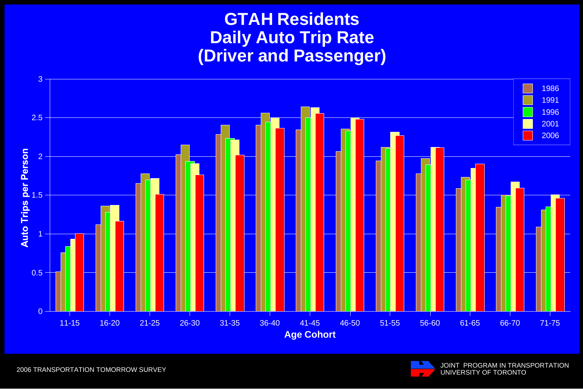#### **GTAH ResidentsDaily Auto Trip Rate (Driver and Passenger)**





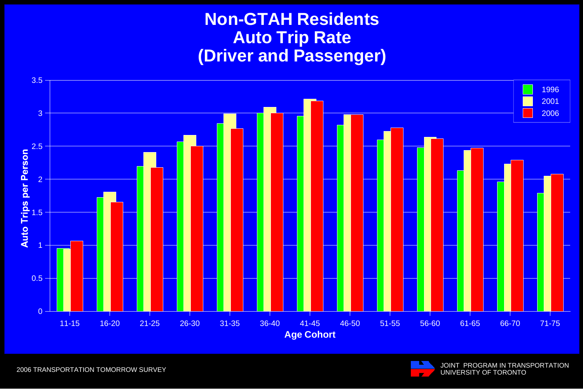#### **Non-GTAH Residents Auto Trip Rate (Driver and Passenger)**



JOINT PROGRAM IN TRANSPORTATION UNIVERSITY OF TORONTO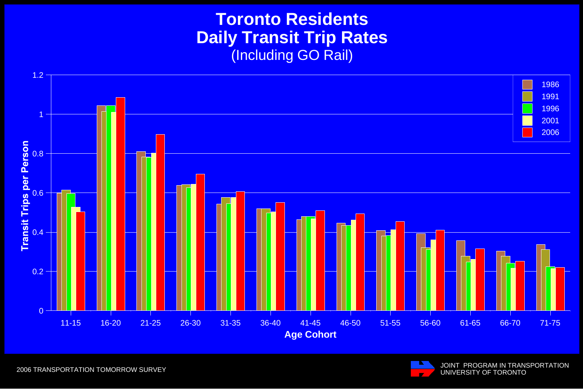#### **Toronto Residents Daily Transit Trip Rates** (Including GO Rail)



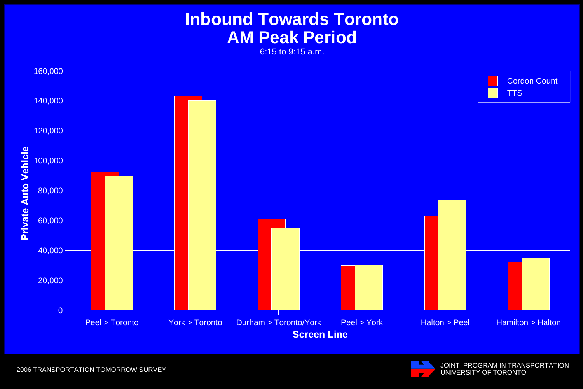# **Inbound Towards Toronto AM Peak Period**

6:15 to 9:15 a.m.



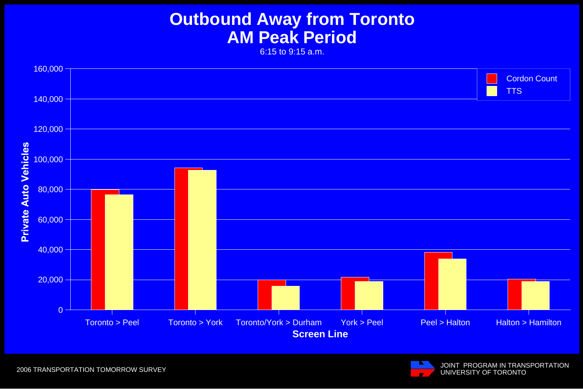# **Outbound Away from Toronto AM Peak Period**

6:15 to 9:15 a.m.



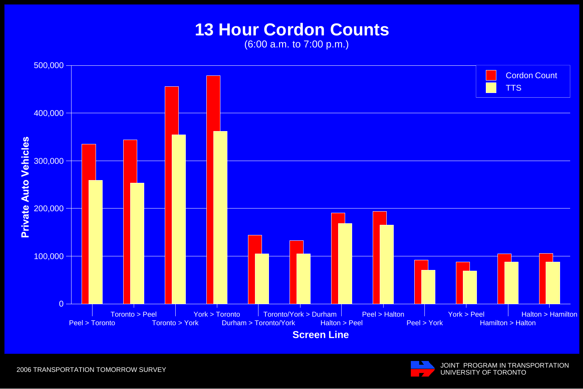# **13 Hour Cordon Counts**

(6:00 a.m. to 7:00 p.m.)



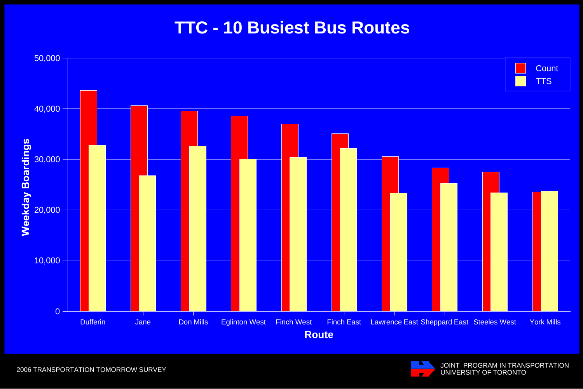### **TTC - 10 Busiest Bus Routes**



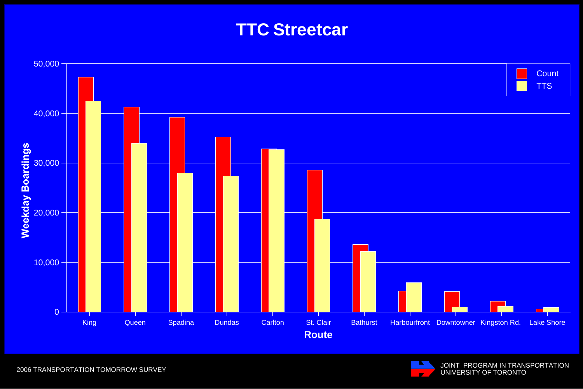#### **TTC Streetcar**





2006 TRANSPORTATION TOMORROW SURVEY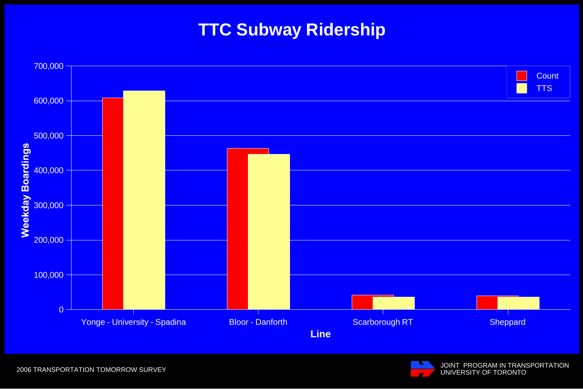# **TTC Subway Ridership**



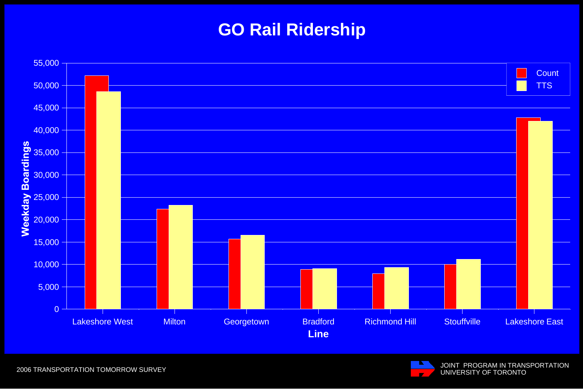# **GO Rail Ridership**



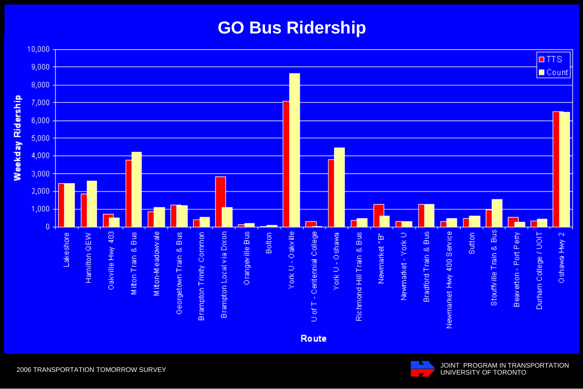# **GO Bus Ridership**



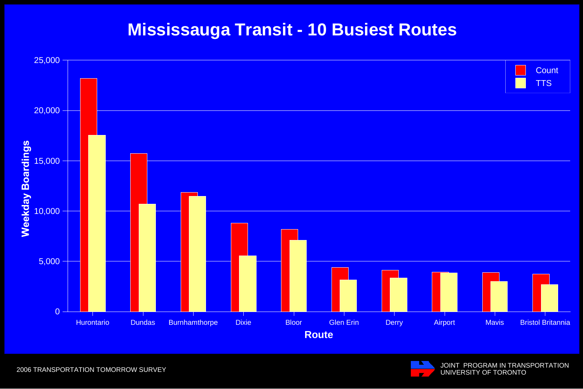#### **Mississauga Transit - 10 Busiest Routes**



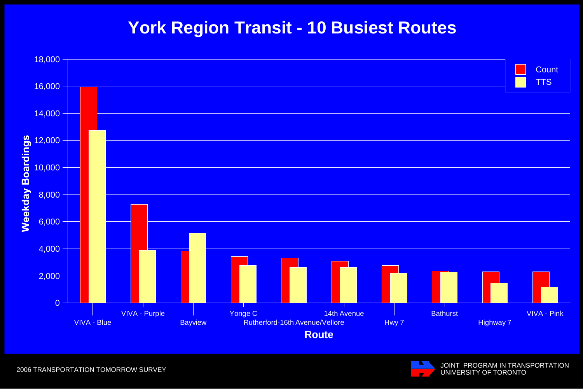# **York Region Transit - 10 Busiest Routes**



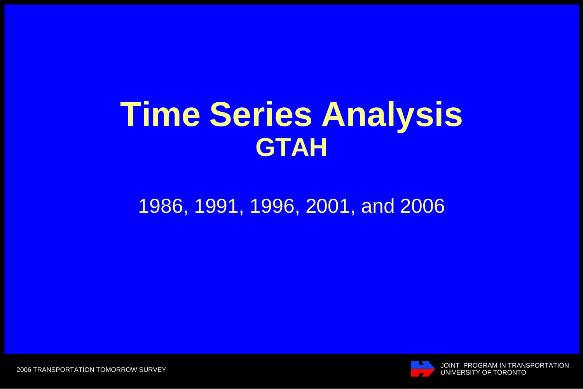# **Time Series Analysis GTAH**

# 1986, 1991, 1996, 2001, and 2006



JOINT PROGRAM IN TRANSPORTATION UNIVERSITY OF TORONTO

2006 TRANSPORTATION TOMORROW SURVEY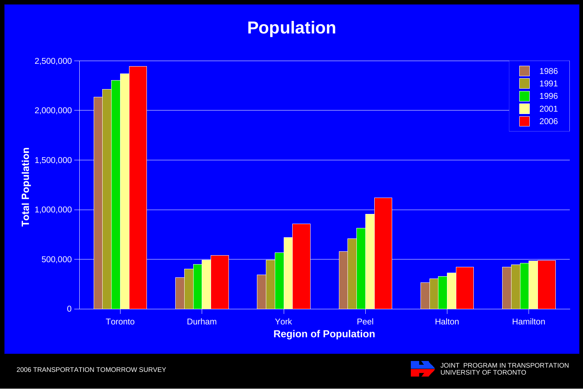# **Population**



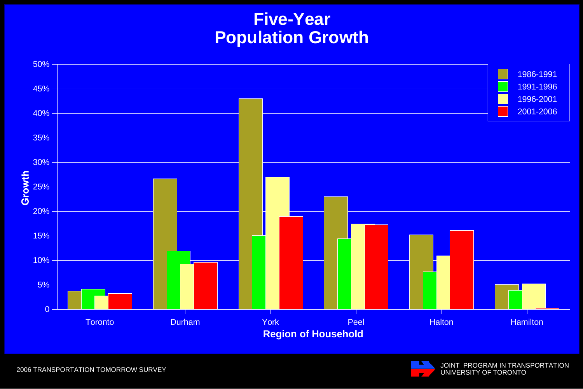#### **Five-Year Population Growth**



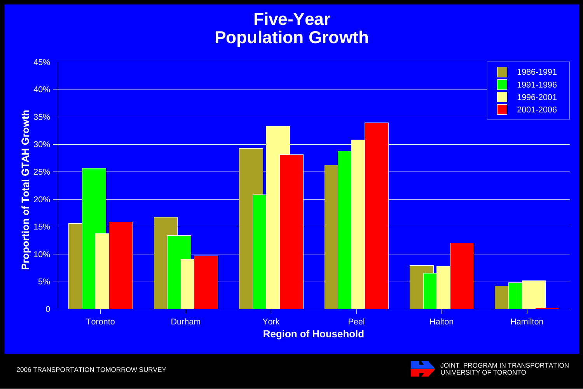#### **Five-Year Population Growth**



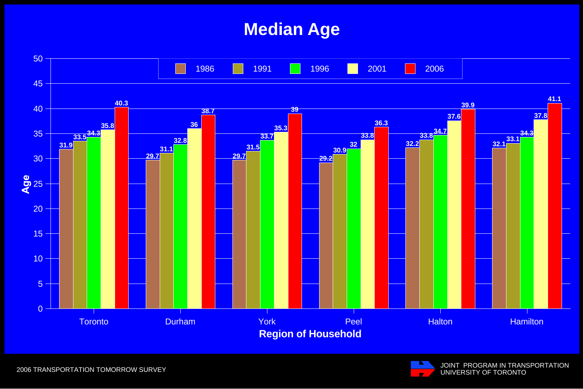# **Median Age**



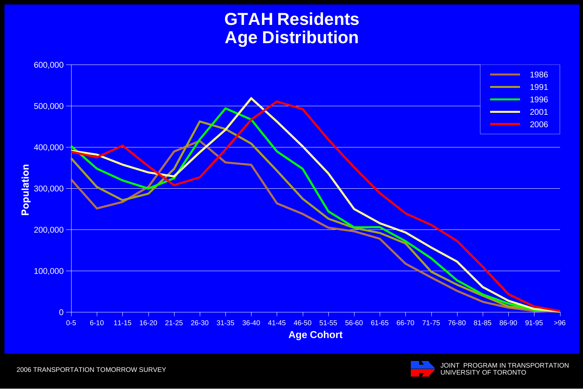#### **GTAH Residents Age Distribution**



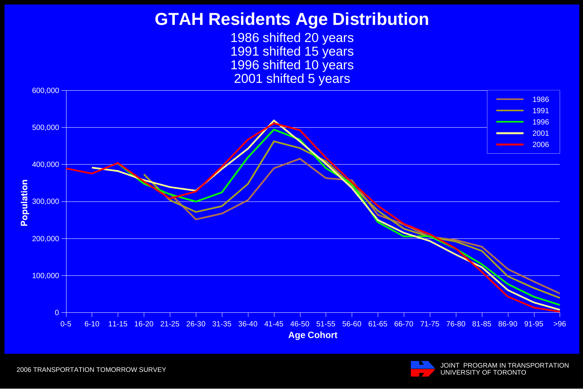#### **GTAH Residents Age Distribution**

1986 shifted 20 years 1991 shifted 15 years 1996 shifted 10 years 2001 shifted 5 years



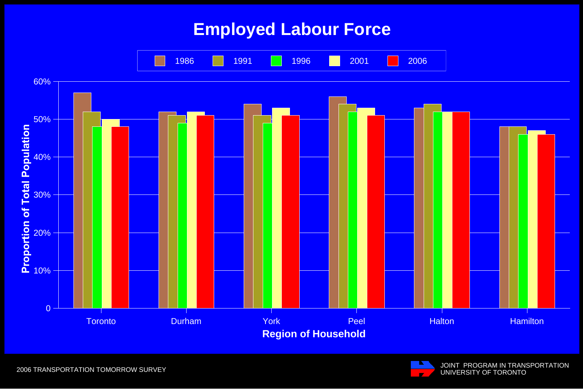## **Employed Labour Force**



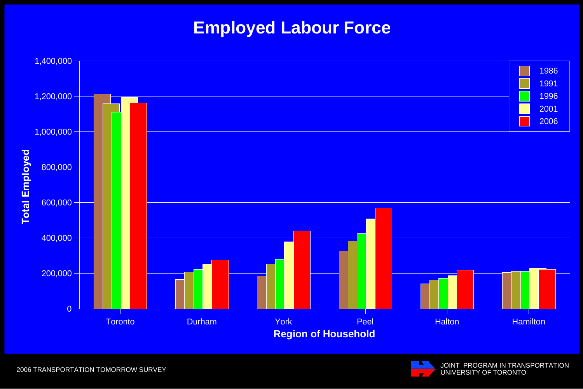# **Employed Labour Force**



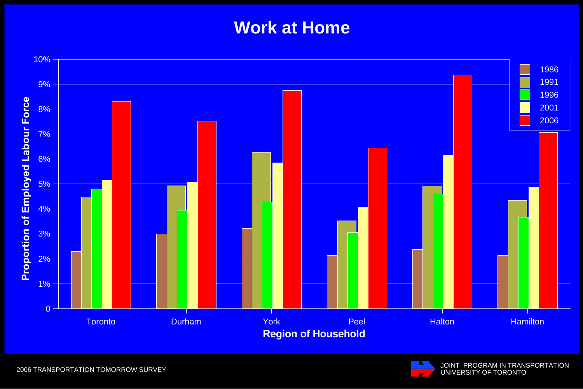# **Work at Home**



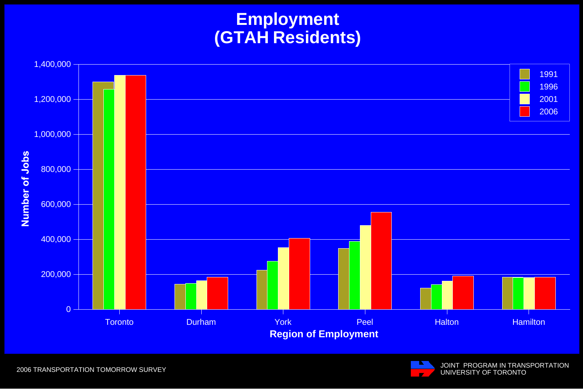#### **Employment (GTAH Residents)**



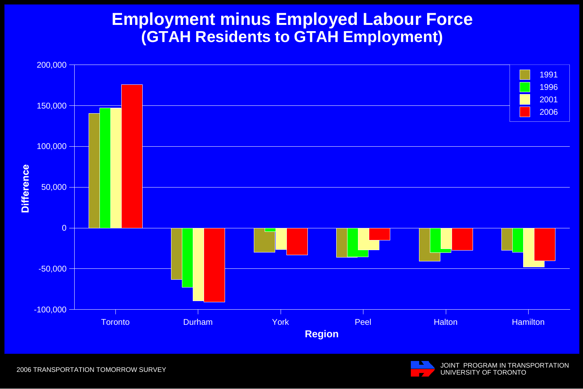#### **Employment minus Employed Labour Force (GTAH Residents to GTAH Employment)**





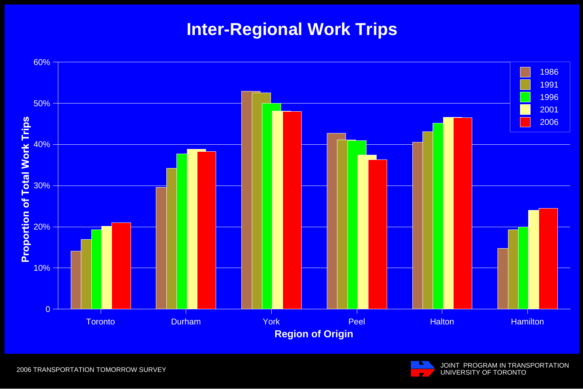# **Inter-Regional Work Trips**





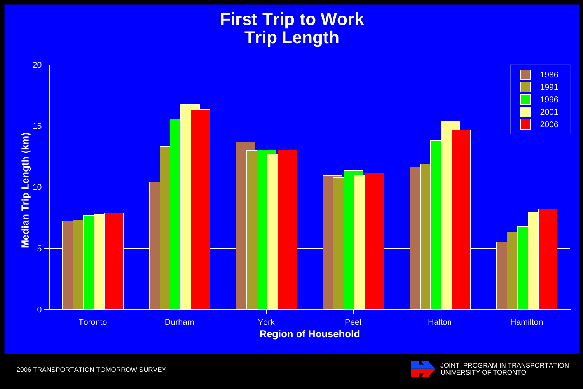# **First Trip to Work Trip Length**



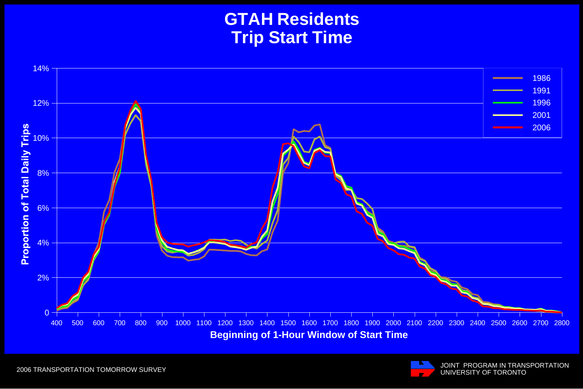#### **GTAH Residents Trip Start Time**



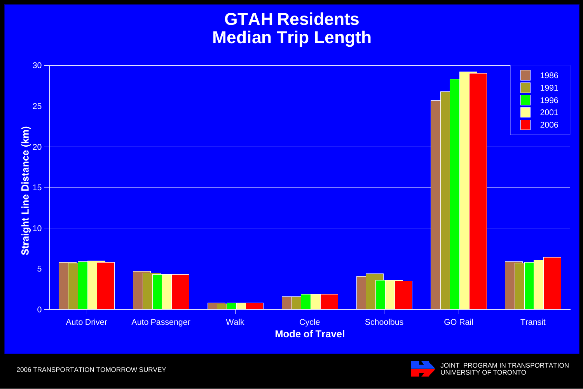#### **GTAH Residents Median Trip Length**



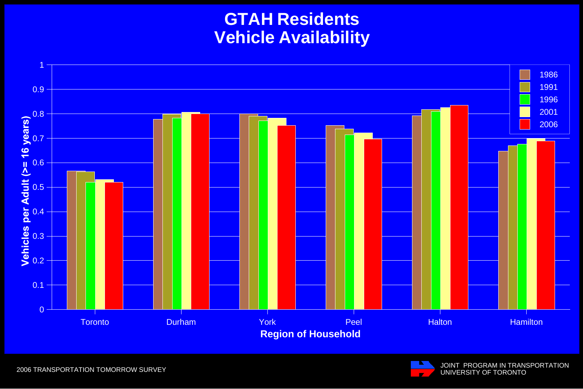#### **GTAH Residents Vehicle Availability**



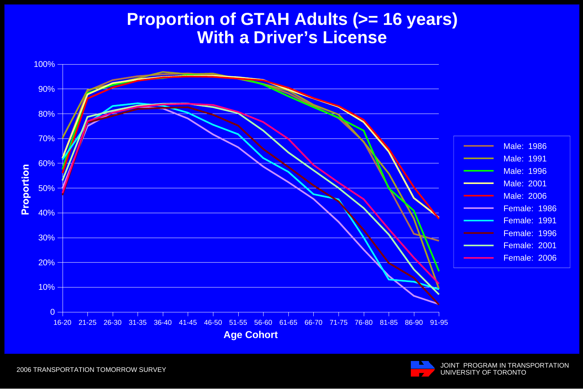#### **Proportion of GTAH Adults (>= 16 years) With a Driver's License**



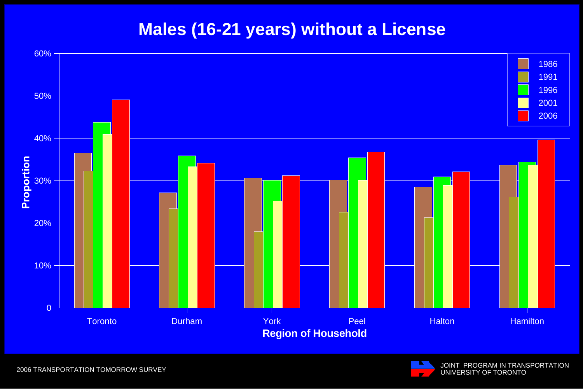#### **Males (16-21 years) without a License**



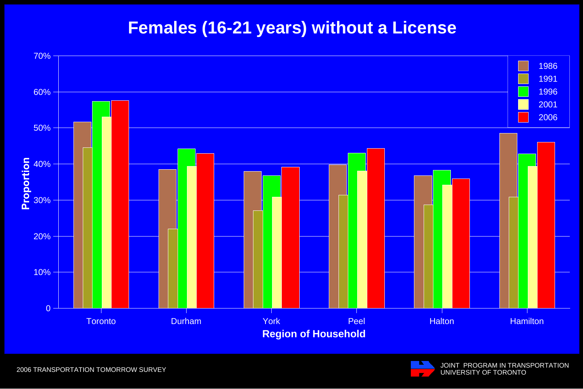#### **Females (16-21 years) without a License**



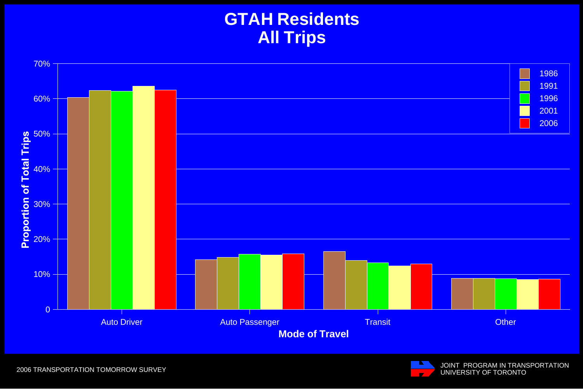#### **GTAH Residents All Trips**



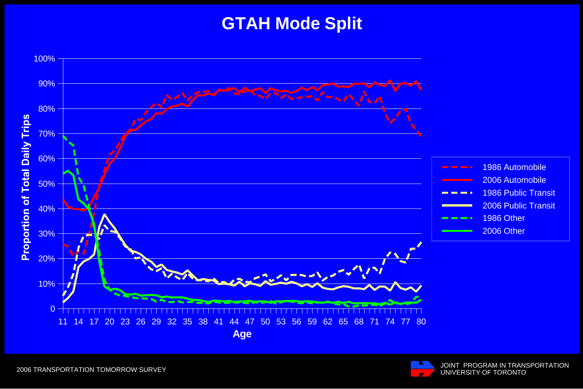#### **GTAH Mode Split**



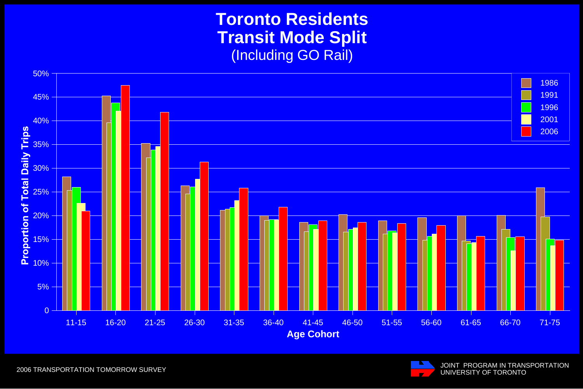#### **Toronto Residents Transit Mode Split** (Including GO Rail)



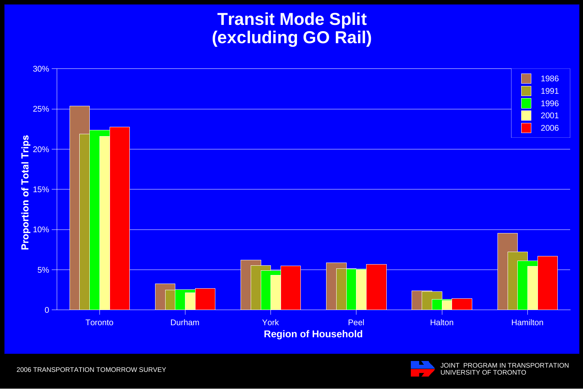#### **Transit Mode Split (excluding GO Rail)**



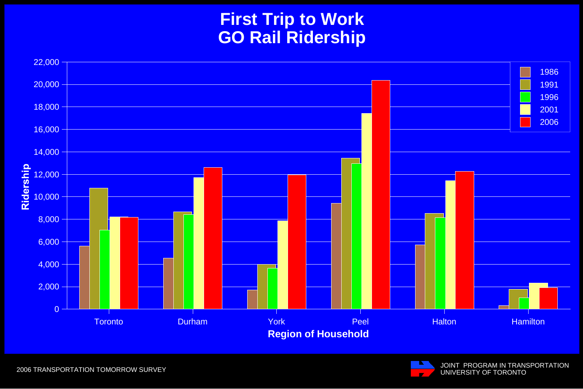#### **First Trip to Work GO Rail Ridership**



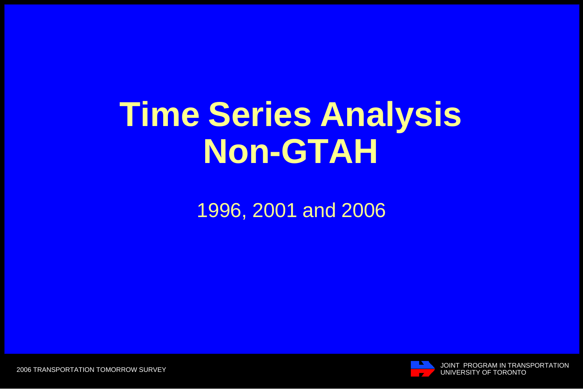# **Time Series Analysis Non-GTAH**

1996, 2001 and 2006



JOINT PROGRAM IN TRANSPORTATION UNIVERSITY OF TORONTO

2006 TRANSPORTATION TOMORROW SURVEY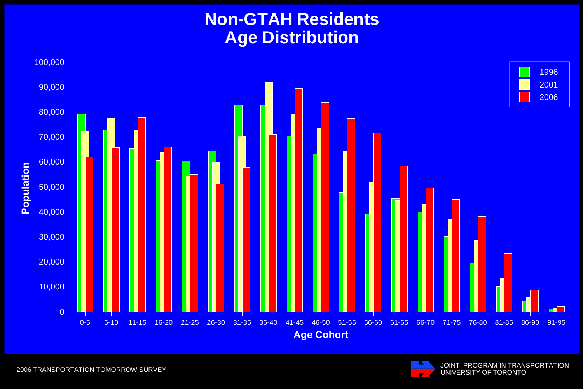#### **Non-GTAH Residents Age Distribution**



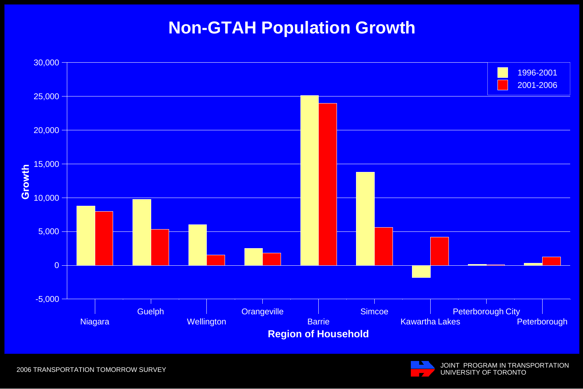#### **Non-GTAH Population Growth**



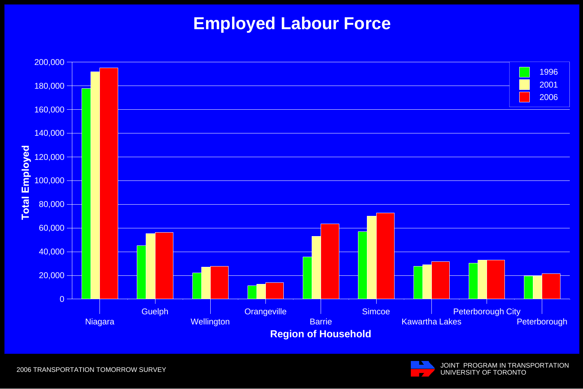#### **Employed Labour Force**



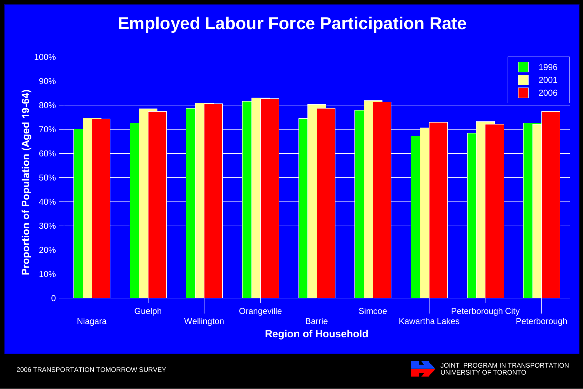#### **Employed Labour Force Participation Rate**



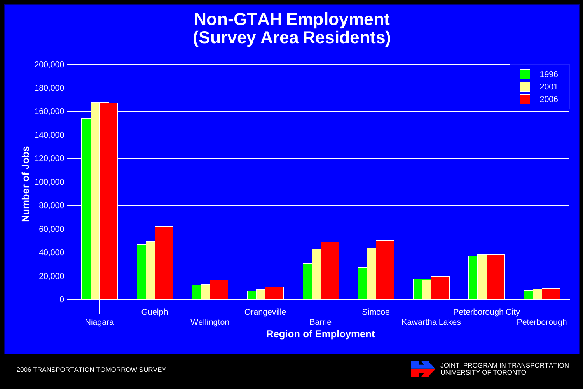**Non-GTAH Employment (Survey Area Residents)**



2006 TRANSPORTATION TOMORROW SURVEY

JOINT PROGRAM IN TRANSPORTATION UNIVERSITY OF TORONTO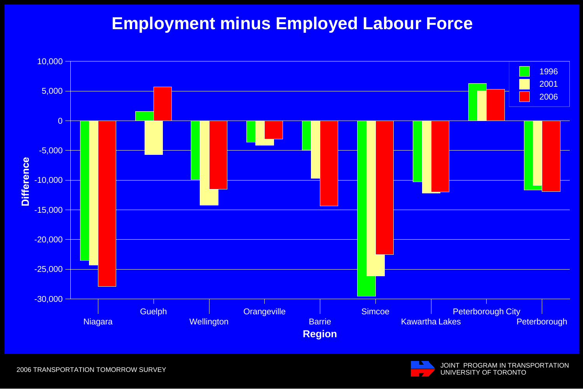#### **Employment minus Employed Labour Force**



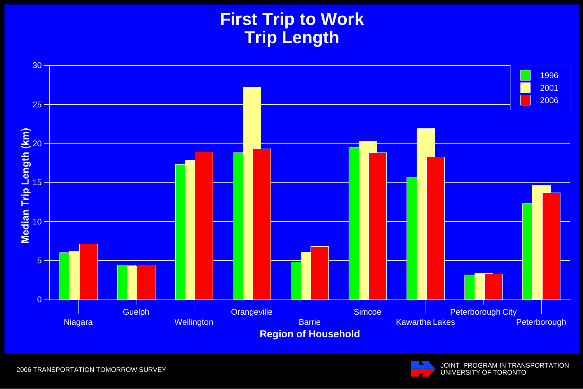#### **First Trip to Work Trip Length**



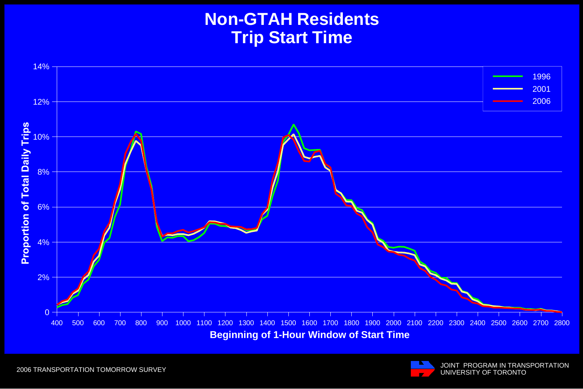#### **Non-GTAH Residents Trip Start Time**



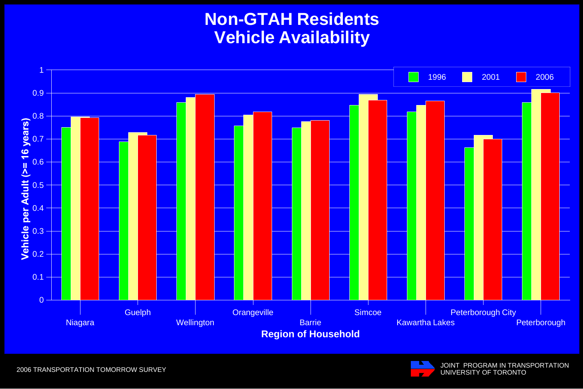#### **Non-GTAH Residents Vehicle Availability**





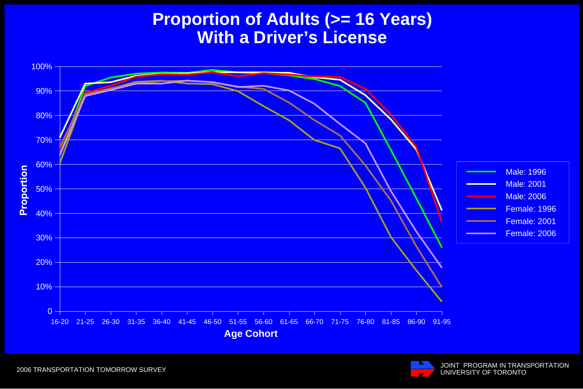#### **Proportion of Adults (>= 16 Years) With a Driver's License**



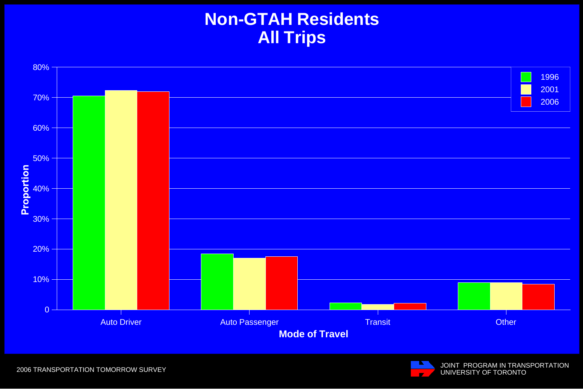#### **Non-GTAH Residents All Trips**



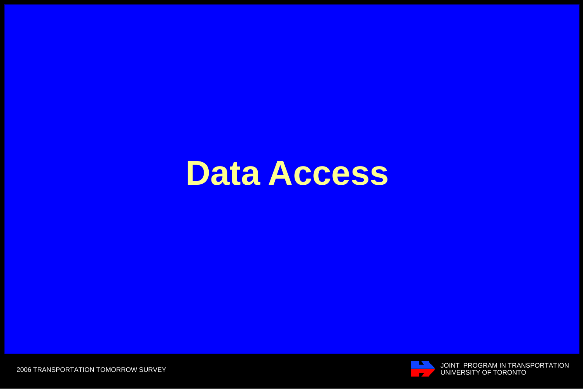## **Data Access**



THE SUIT PROGRAM IN TRANSPORTATION THE SUIT OF TORONTO UNIVERSITY OF TORONTO AND TRANSPORTATION

2006 TRANSPORTATION TOMORROW SURVEY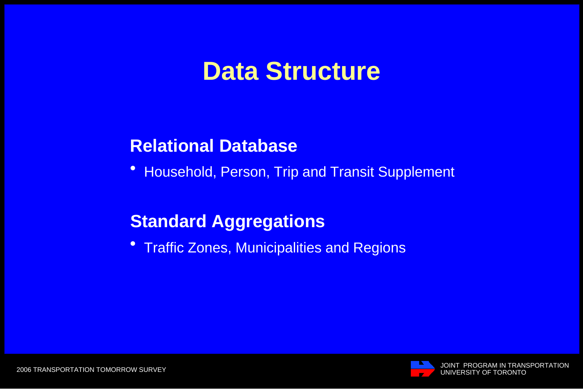### **Data Structure**

#### **Relational Database**

! Household, Person, Trip and Transit Supplement

#### **Standard Aggregations**

**• Traffic Zones, Municipalities and Regions** 

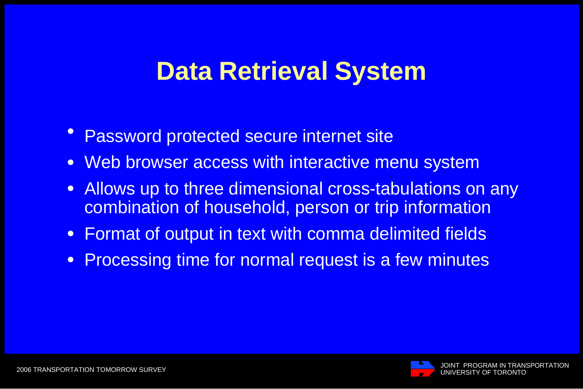## **Data Retrieval System**

- $\bullet$ Password protected secure internet site
- Web browser access with interactive menu system
- ! Allows up to three dimensional cross-tabulations on any combination of household, person or trip information
- ! Format of output in text with comma delimited fields
- **Processing time for normal request is a few minutes**